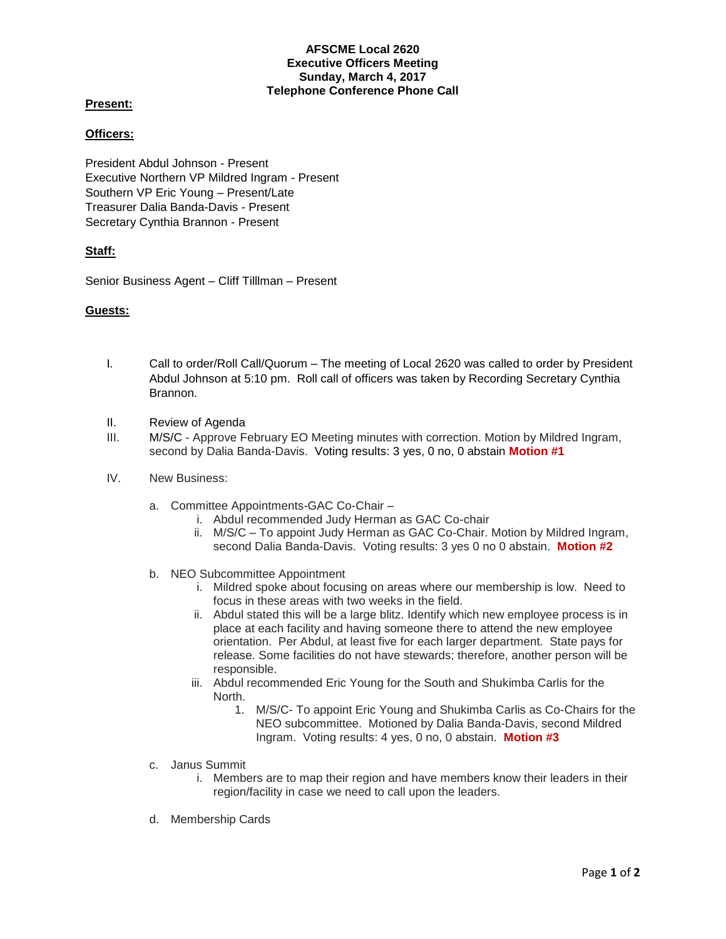### **AFSCME Local 2620 Executive Officers Meeting Sunday, March 4, 2017 Telephone Conference Phone Call**

# **Present:**

# **Officers:**

President Abdul Johnson - Present Executive Northern VP Mildred Ingram - Present Southern VP Eric Young – Present/Late Treasurer Dalia Banda-Davis - Present Secretary Cynthia Brannon - Present

## **Staff:**

Senior Business Agent – Cliff Tilllman – Present

### **Guests:**

- I. Call to order/Roll Call/Quorum The meeting of Local 2620 was called to order by President Abdul Johnson at 5:10 pm. Roll call of officers was taken by Recording Secretary Cynthia Brannon.
- II. Review of Agenda
- III. M/S/C Approve February EO Meeting minutes with correction. Motion by Mildred Ingram, second by Dalia Banda-Davis. Voting results: 3 yes, 0 no, 0 abstain **Motion #1**
- IV. New Business:
	- a. Committee Appointments-GAC Co-Chair
		- i. Abdul recommended Judy Herman as GAC Co-chair
		- ii. M/S/C To appoint Judy Herman as GAC Co-Chair. Motion by Mildred Ingram, second Dalia Banda-Davis. Voting results: 3 yes 0 no 0 abstain. **Motion #2**
	- b. NEO Subcommittee Appointment
		- i. Mildred spoke about focusing on areas where our membership is low. Need to focus in these areas with two weeks in the field.
		- ii. Abdul stated this will be a large blitz. Identify which new employee process is in place at each facility and having someone there to attend the new employee orientation. Per Abdul, at least five for each larger department. State pays for release. Some facilities do not have stewards; therefore, another person will be responsible.
		- iii. Abdul recommended Eric Young for the South and Shukimba Carlis for the North.
			- 1. M/S/C- To appoint Eric Young and Shukimba Carlis as Co-Chairs for the NEO subcommittee. Motioned by Dalia Banda-Davis, second Mildred Ingram. Voting results: 4 yes, 0 no, 0 abstain. **Motion #3**
	- c. Janus Summit
		- i. Members are to map their region and have members know their leaders in their region/facility in case we need to call upon the leaders.
	- d. Membership Cards